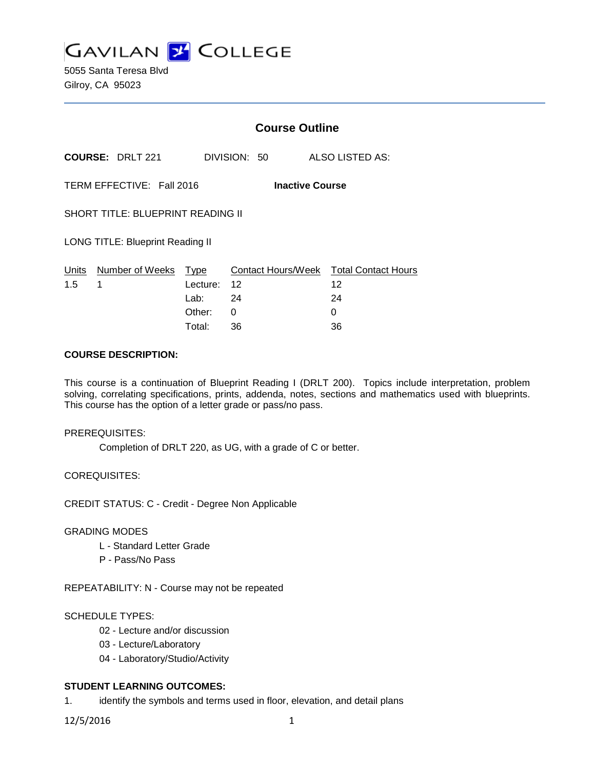**GAVILAN 2 COLLEGE** 

5055 Santa Teresa Blvd Gilroy, CA 95023

|                                                     |                 | <b>Course Outline</b> |              |                                        |
|-----------------------------------------------------|-----------------|-----------------------|--------------|----------------------------------------|
| <b>COURSE: DRLT 221</b>                             |                 |                       | DIVISION: 50 | ALSO LISTED AS:                        |
| TERM EFFECTIVE: Fall 2016<br><b>Inactive Course</b> |                 |                       |              |                                        |
| <b>SHORT TITLE: BLUEPRINT READING II</b>            |                 |                       |              |                                        |
| <b>LONG TITLE: Blueprint Reading II</b>             |                 |                       |              |                                        |
| Units                                               | Number of Weeks | Type                  |              | Contact Hours/Week Total Contact Hours |
| 1.5                                                 | 1               | Lecture: 12           |              | 12                                     |
|                                                     |                 | Lab: La               | 24           | 24                                     |
|                                                     |                 | Other:                | 0            | 0                                      |
|                                                     |                 | Total:                | 36           | 36                                     |

### **COURSE DESCRIPTION:**

This course is a continuation of Blueprint Reading I (DRLT 200). Topics include interpretation, problem solving, correlating specifications, prints, addenda, notes, sections and mathematics used with blueprints. This course has the option of a letter grade or pass/no pass.

#### PREREQUISITES:

Completion of DRLT 220, as UG, with a grade of C or better.

COREQUISITES:

CREDIT STATUS: C - Credit - Degree Non Applicable

### GRADING MODES

- L Standard Letter Grade
- P Pass/No Pass

REPEATABILITY: N - Course may not be repeated

## SCHEDULE TYPES:

- 02 Lecture and/or discussion
- 03 Lecture/Laboratory
- 04 Laboratory/Studio/Activity

# **STUDENT LEARNING OUTCOMES:**

1. identify the symbols and terms used in floor, elevation, and detail plans

12/5/2016 1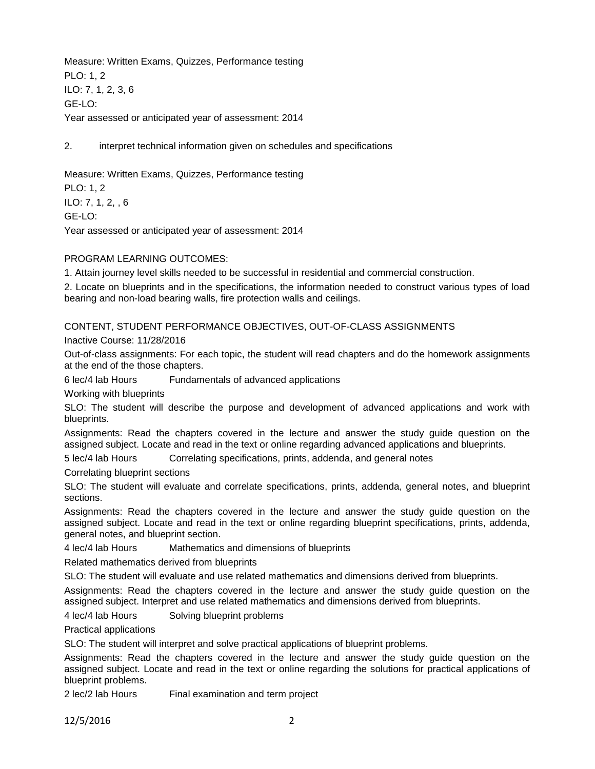Measure: Written Exams, Quizzes, Performance testing PLO: 1, 2 ILO: 7, 1, 2, 3, 6 GE-LO: Year assessed or anticipated year of assessment: 2014

2. interpret technical information given on schedules and specifications

Measure: Written Exams, Quizzes, Performance testing PLO: 1, 2

ILO: 7, 1, 2, , 6 GE-LO: Year assessed or anticipated year of assessment: 2014

#### PROGRAM LEARNING OUTCOMES:

1. Attain journey level skills needed to be successful in residential and commercial construction.

2. Locate on blueprints and in the specifications, the information needed to construct various types of load bearing and non-load bearing walls, fire protection walls and ceilings.

CONTENT, STUDENT PERFORMANCE OBJECTIVES, OUT-OF-CLASS ASSIGNMENTS

Inactive Course: 11/28/2016

Out-of-class assignments: For each topic, the student will read chapters and do the homework assignments at the end of the those chapters.

6 lec/4 lab Hours Fundamentals of advanced applications

Working with blueprints

SLO: The student will describe the purpose and development of advanced applications and work with blueprints.

Assignments: Read the chapters covered in the lecture and answer the study guide question on the assigned subject. Locate and read in the text or online regarding advanced applications and blueprints.

5 lec/4 lab Hours Correlating specifications, prints, addenda, and general notes

Correlating blueprint sections

SLO: The student will evaluate and correlate specifications, prints, addenda, general notes, and blueprint sections.

Assignments: Read the chapters covered in the lecture and answer the study guide question on the assigned subject. Locate and read in the text or online regarding blueprint specifications, prints, addenda, general notes, and blueprint section.

4 lec/4 lab Hours Mathematics and dimensions of blueprints

Related mathematics derived from blueprints

SLO: The student will evaluate and use related mathematics and dimensions derived from blueprints.

Assignments: Read the chapters covered in the lecture and answer the study guide question on the assigned subject. Interpret and use related mathematics and dimensions derived from blueprints.

4 lec/4 lab Hours Solving blueprint problems

Practical applications

SLO: The student will interpret and solve practical applications of blueprint problems.

Assignments: Read the chapters covered in the lecture and answer the study guide question on the assigned subject. Locate and read in the text or online regarding the solutions for practical applications of blueprint problems.

2 lec/2 lab Hours Final examination and term project

12/5/2016 2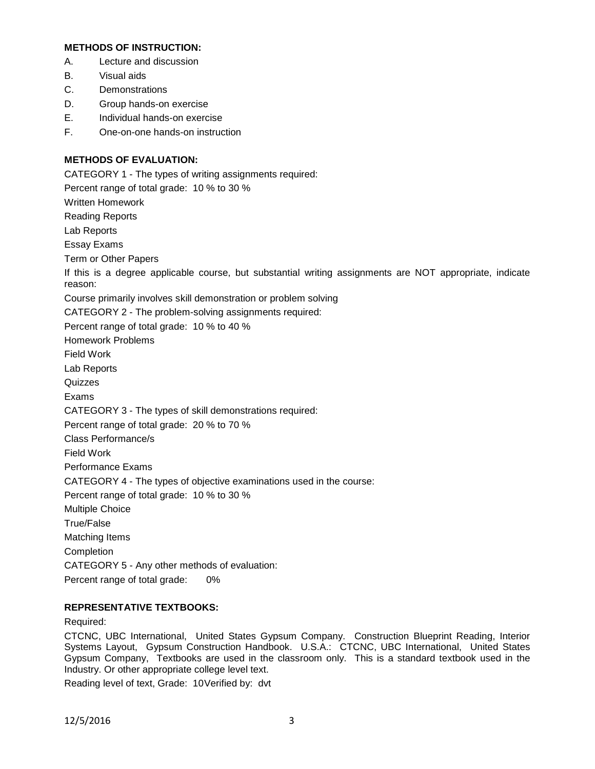## **METHODS OF INSTRUCTION:**

- A. Lecture and discussion
- B. Visual aids
- C. Demonstrations
- D. Group hands-on exercise
- E. Individual hands-on exercise
- F. One-on-one hands-on instruction

# **METHODS OF EVALUATION:**

CATEGORY 1 - The types of writing assignments required: Percent range of total grade: 10 % to 30 % Written Homework Reading Reports Lab Reports Essay Exams Term or Other Papers If this is a degree applicable course, but substantial writing assignments are NOT appropriate, indicate reason: Course primarily involves skill demonstration or problem solving CATEGORY 2 - The problem-solving assignments required: Percent range of total grade: 10 % to 40 % Homework Problems Field Work Lab Reports **Quizzes** Exams CATEGORY 3 - The types of skill demonstrations required: Percent range of total grade: 20 % to 70 % Class Performance/s Field Work Performance Exams CATEGORY 4 - The types of objective examinations used in the course: Percent range of total grade: 10 % to 30 % Multiple Choice True/False Matching Items Completion CATEGORY 5 - Any other methods of evaluation: Percent range of total grade: 0%

## **REPRESENTATIVE TEXTBOOKS:**

## Required:

CTCNC, UBC International, United States Gypsum Company. Construction Blueprint Reading, Interior Systems Layout, Gypsum Construction Handbook. U.S.A.: CTCNC, UBC International, United States Gypsum Company, Textbooks are used in the classroom only. This is a standard textbook used in the Industry. Or other appropriate college level text.

Reading level of text, Grade: 10Verified by: dvt